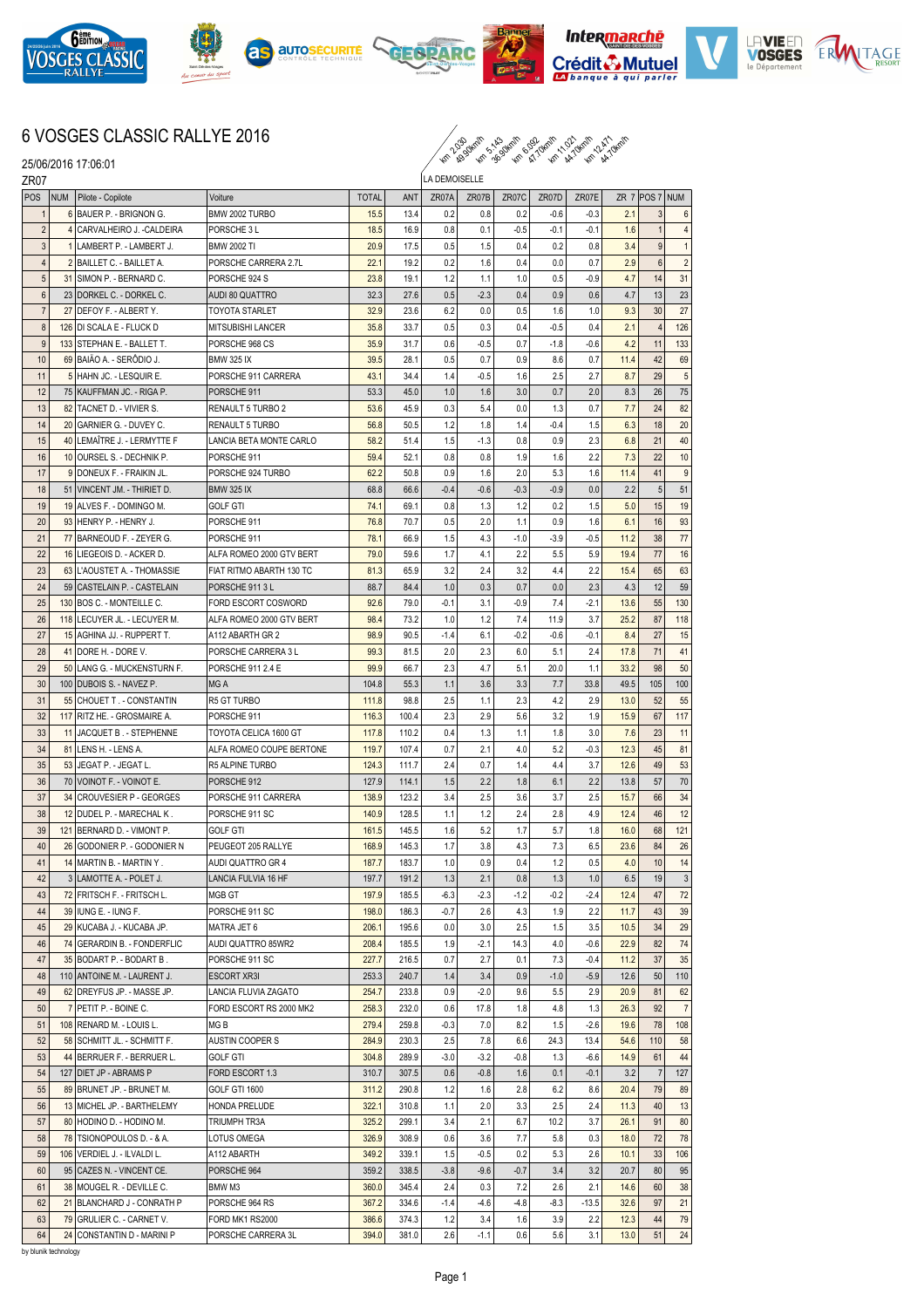











## 6 VOSGES CLASSIC RALLYE 2016

km ko se km ki km km km km

25/06/2016 17:06:01

| ZR07             |            | <b>LUIUULLU II.UU.U</b>       |                          |              |       | LA DEMOISELLE |        |         |        |         |      |                |                |
|------------------|------------|-------------------------------|--------------------------|--------------|-------|---------------|--------|---------|--------|---------|------|----------------|----------------|
| <b>POS</b>       | <b>NUM</b> | Pilote - Copilote             | Voiture                  | <b>TOTAL</b> | ANT   | ZR07A         | ZR07B  | ZR07C   | ZR07D  | ZR07E   |      | ZR 7 POS 7 NUM |                |
| $\mathbf{1}$     |            | 6 BAUER P. - BRIGNON G.       | BMW 2002 TURBO           | 15.5         | 13.4  | 0.2           | 0.8    | 0.2     | $-0.6$ | $-0.3$  | 2.1  | 3              | 6              |
| $\overline{2}$   |            | 4 CARVALHEIRO J. - CALDEIRA   | PORSCHE 3 L              | 18.5         | 16.9  | 0.8           | 0.1    | $-0.5$  | $-0.1$ | $-0.1$  | 1.6  | $\mathbf{1}$   | 4              |
| $\sqrt{3}$       |            | 1 LAMBERT P. - LAMBERT J.     | <b>BMW 2002 TI</b>       | 20.9         | 17.5  | 0.5           | 1.5    | 0.4     | 0.2    | 0.8     | 3.4  | 9              | 1              |
| $\overline{4}$   |            | 2 BAILLET C. - BAILLET A.     | PORSCHE CARRERA 2.7L     | 22.1         | 19.2  | 0.2           | 1.6    | 0.4     | 0.0    | 0.7     | 2.9  | $6\phantom{1}$ | $\overline{2}$ |
| $5\,$            |            | 31 SIMON P. - BERNARD C.      | PORSCHE 924 S            | 23.8         | 19.1  | 1.2           | 1.1    | 1.0     | 0.5    | $-0.9$  | 4.7  | 14             | 31             |
| $\boldsymbol{6}$ |            | 23 DORKEL C. - DORKEL C.      | AUDI 80 QUATTRO          | 32.3         | 27.6  | 0.5           | $-2.3$ | 0.4     | 0.9    | 0.6     | 4.7  | 13             | 23             |
| $\overline{7}$   |            | 27 DEFOY F. - ALBERT Y.       | TOYOTA STARLET           | 32.9         | 23.6  | 6.2           | 0.0    | 0.5     | 1.6    | 1.0     | 9.3  | 30             | 27             |
| $\bf 8$          |            | 126 DI SCALA E - FLUCK D      | MITSUBISHI LANCER        | 35.8         | 33.7  | 0.5           | 0.3    | 0.4     | $-0.5$ | 0.4     | 2.1  | $\overline{4}$ | 126            |
| $\boldsymbol{9}$ |            | 133 STEPHAN E. - BALLET T.    | PORSCHE 968 CS           | 35.9         | 31.7  | 0.6           | $-0.5$ | 0.7     | $-1.8$ | $-0.6$  | 4.2  | 11             | 133            |
| 10               |            | 69 BAIAO A. - SERÕDIO J.      | <b>BMW 325 IX</b>        | 39.5         | 28.1  | 0.5           | 0.7    | 0.9     | 8.6    | 0.7     | 11.4 | 42             | 69             |
| 11               |            | 5 HAHN JC. - LESQUIR E.       | PORSCHE 911 CARRERA      | 43.1         | 34.4  | 1.4           | -0.5   | 1.6     | 2.5    | 2.7     | 8.7  | 29             | 5 <sup>1</sup> |
| 12               |            | 75 KAUFFMAN JC. - RIGA P.     | PORSCHE 911              | 53.3         | 45.0  | 1.0           | 1.6    | 3.0     | 0.7    | 2.0     | 8.3  | 26             | 75             |
| 13               |            | 82 TACNET D. - VIVIER S.      | RENAULT 5 TURBO 2        | 53.6         | 45.9  | 0.3           | 5.4    | 0.0     | 1.3    | 0.7     | 7.7  | 24             | 82             |
| 14               |            | 20 GARNIER G. - DUVEY C.      | RENAULT 5 TURBO          | 56.8         | 50.5  | 1.2           | 1.8    | 1.4     | $-0.4$ | 1.5     | 6.3  | 18             | 20             |
| 15               |            | 40 LEMAÎTRE J. - LERMYTTE F   | LANCIA BETA MONTE CARLO  | 58.2         | 51.4  | 1.5           | $-1.3$ | 0.8     | 0.9    | 2.3     | 6.8  | 21             | 40             |
| 16               |            | 10 OURSEL S. - DECHNIK P.     | PORSCHE 911              | 59.4         | 52.1  | 0.8           | 0.8    | 1.9     | 1.6    | 2.2     | 7.3  | 22             | 10             |
| 17               |            |                               | PORSCHE 924 TURBO        |              |       | 0.9           |        | 2.0     | 5.3    |         |      |                |                |
|                  |            | 9 DONEUX F. - FRAIKIN JL.     |                          | 62.2         | 50.8  |               | 1.6    |         |        | 1.6     | 11.4 | 41             | 9              |
| 18               |            | 51 VINCENT JM. - THIRIET D.   | <b>BMW 325 IX</b>        | 68.8         | 66.6  | $-0.4$        | $-0.6$ | $-0.3$  | $-0.9$ | 0.0     | 2.2  | 5              | 51             |
| 19               |            | 19 ALVES F. - DOMINGO M.      | <b>GOLF GTI</b>          | 74.1         | 69.1  | 0.8           | 1.3    | 1.2     | 0.2    | 1.5     | 5.0  | 15             | 19             |
| 20               |            | 93 HENRY P. - HENRY J.        | PORSCHE 911              | 76.8         | 70.7  | 0.5           | 2.0    | 1.1     | 0.9    | 1.6     | 6.1  | 16             | 93             |
| 21               |            | 77 BARNEOUD F. - ZEYER G.     | PORSCHE 911              | 78.1         | 66.9  | 1.5           | 4.3    | $-1.0$  | $-3.9$ | $-0.5$  | 11.2 | 38             | 77             |
| 22               |            | 16 LIEGEOIS D. - ACKER D.     | ALFA ROMEO 2000 GTV BERT | 79.0         | 59.6  | 1.7           | 4.1    | 2.2     | 5.5    | 5.9     | 19.4 | 77             | 16             |
| 23               |            | 63 L'AOUSTET A. - THOMASSIE   | FIAT RITMO ABARTH 130 TC | 81.3         | 65.9  | 3.2           | 2.4    | 3.2     | 4.4    | 2.2     | 15.4 | 65             | 63             |
| 24               |            | 59 CASTELAIN P. - CASTELAIN   | PORSCHE 9113L            | 88.7         | 84.4  | 1.0           | 0.3    | 0.7     | 0.0    | 2.3     | 4.3  | 12             | 59             |
| 25               |            | 130 BOS C. - MONTEILLE C.     | FORD ESCORT COSWORD      | 92.6         | 79.0  | $-0.1$        | 3.1    | $-0.9$  | 7.4    | $-2.1$  | 13.6 | 55             | 130            |
| 26               |            | 118 LECUYER JL. - LECUYER M.  | ALFA ROMEO 2000 GTV BERT | 98.4         | 73.2  | 1.0           | 1.2    | 7.4     | 11.9   | 3.7     | 25.2 | 87             | 118            |
| 27               |            | 15 AGHINA JJ. - RUPPERT T.    | A112 ABARTH GR 2         | 98.9         | 90.5  | $-1.4$        | 6.1    | $-0.2$  | $-0.6$ | $-0.1$  | 8.4  | 27             | 15             |
| 28               |            | 41 DORE H. - DORE V.          | PORSCHE CARRERA 3 L      | 99.3         | 81.5  | 2.0           | 2.3    | 6.0     | 5.1    | 2.4     | 17.8 | 71             | 41             |
| 29               |            | 50 LANG G. - MUCKENSTURN F.   | PORSCHE 911 2.4 E        | 99.9         | 66.7  | 2.3           | 4.7    | 5.1     | 20.0   | 1.1     | 33.2 | 98             | 50             |
| 30               |            | 100 DUBOIS S. - NAVEZ P.      | MG A                     | 104.8        | 55.3  | 1.1           | 3.6    | 3.3     | 7.7    | 33.8    | 49.5 | 105            | 100            |
| 31               |            | 55 CHOUET T. - CONSTANTIN     | R5 GT TURBO              | 111.8        | 98.8  | 2.5           | 1.1    | 2.3     | 4.2    | 2.9     | 13.0 | 52             | 55             |
| 32               |            | 117 RITZ HE. - GROSMAIRE A.   | PORSCHE 911              | 116.3        | 100.4 | 2.3           | 2.9    | 5.6     | 3.2    | 1.9     | 15.9 | 67             | 117            |
| 33               |            | 11 JACQUET B. - STEPHENNE     | TOYOTA CELICA 1600 GT    | 117.8        | 110.2 | 0.4           | 1.3    | 1.1     | 1.8    | 3.0     | 7.6  | 23             | 11             |
| 34               |            | 81 LENS H. - LENS A.          | ALFA ROMEO COUPE BERTONE | 119.7        | 107.4 | 0.7           | 2.1    | 4.0     | 5.2    | $-0.3$  | 12.3 | 45             | 81             |
| 35               |            | 53 JEGAT P. - JEGAT L.        | R5 ALPINE TURBO          | 124.3        | 111.7 | 2.4           | 0.7    | 1.4     | 4.4    | 3.7     | 12.6 | 49             | 53             |
| 36               |            | 70 VOINOT F. - VOINOT E.      | PORSCHE 912              | 127.9        | 114.1 | 1.5           | 2.2    | 1.8     | 6.1    | 2.2     | 13.8 | 57             | 70             |
| 37               |            | 34 CROUVESIER P - GEORGES     | PORSCHE 911 CARRERA      | 138.9        | 123.2 | 3.4           | 2.5    | 3.6     | 3.7    | 2.5     | 15.7 | 66             | 34             |
| 38               |            | 12 DUDEL P. - MARECHAL K.     | PORSCHE 911 SC           | 140.9        | 128.5 | 1.1           | 1.2    | 2.4     | 2.8    | 4.9     | 12.4 | 46             | 12             |
| 39               |            | 121 BERNARD D. - VIMONT P.    | GOLF GTI                 | 161.5        | 145.5 | 1.6           | 5.2    | 1.7     | 5.7    | 1.8     | 16.0 | 68             | 121            |
| 40               |            | 26 GODONIER P. - GODONIER N   | PEUGEOT 205 RALLYE       | 168.9        | 145.3 | 1.7           | 3.8    | 4.3     | 7.3    | 6.5     | 23.6 | 84             | 26             |
| 41               |            | 14 MARTIN B. - MARTIN Y.      | AUDI QUATTRO GR 4        | 187.7        | 183.7 | 1.0           | 0.9    | $0.4\,$ | $1.2$  | 0.5     | 4.0  | $10$           | 14             |
| 42               |            | 3 LAMOTTE A. - POLET J.       | LANCIA FULVIA 16 HF      | 197.7        | 191.2 | 1.3           | 2.1    | 0.8     | 1.3    | 1.0     | 6.5  | 19             | 3              |
| 43               |            | 72 FRITSCH F. - FRITSCH L.    | MGB GT                   | 197.9        | 185.5 | $-6.3$        | $-2.3$ | $-1.2$  | $-0.2$ | $-2.4$  | 12.4 | 47             | 72             |
| 44               |            | 39 IUNG E. - IUNG F.          | PORSCHE 911 SC           | 198.0        | 186.3 | $-0.7$        | 2.6    | 4.3     | 1.9    | 2.2     | 11.7 | 43             | 39             |
| 45               |            | 29 KUCABA J. - KUCABA JP.     | MATRA JET 6              | 206.1        | 195.6 | 0.0           | 3.0    | 2.5     | 1.5    | 3.5     | 10.5 | 34             | 29             |
| 46               |            | 74 GERARDIN B. - FONDERFLIC   | AUDI QUATTRO 85WR2       | 208.4        | 185.5 | 1.9           | $-2.1$ | 14.3    | 4.0    | $-0.6$  | 22.9 | 82             | 74             |
| 47               |            | 35 BODART P. - BODART B.      | PORSCHE 911 SC           | 227.7        | 216.5 | 0.7           | 2.7    | 0.1     | 7.3    | $-0.4$  | 11.2 | 37             | 35             |
| 48               |            | 110 ANTOINE M. - LAURENT J.   | <b>ESCORT XR3I</b>       | 253.3        | 240.7 | 1.4           | 3.4    | 0.9     | $-1.0$ | $-5.9$  | 12.6 | 50             | 110            |
| 49               |            | 62 DREYFUS JP. - MASSE JP.    | LANCIA FLUVIA ZAGATO     | 254.7        | 233.8 | 0.9           | $-2.0$ | 9.6     | 5.5    | 2.9     | 20.9 | 81             | 62             |
| 50               |            | 7 PETIT P. - BOINE C.         | FORD ESCORT RS 2000 MK2  | 258.3        | 232.0 | 0.6           | 17.8   | 1.8     | 4.8    | 1.3     | 26.3 | 92             | 7              |
| 51               |            | 108 RENARD M. - LOUIS L.      | MG B                     | 279.4        | 259.8 | $-0.3$        | 7.0    | 8.2     | 1.5    | $-2.6$  | 19.6 | 78             | 108            |
| 52               |            | 58 SCHMITT JL. - SCHMITT F.   | AUSTIN COOPER S          | 284.9        | 230.3 | 2.5           | 7.8    | 6.6     | 24.3   | 13.4    | 54.6 | 110            | 58             |
| 53               |            | 44 BERRUER F. - BERRUER L.    | <b>GOLF GTI</b>          | 304.8        | 289.9 | $-3.0$        | $-3.2$ | $-0.8$  | 1.3    | $-6.6$  | 14.9 | 61             | 44             |
| 54               |            | 127   DIET JP - ABRAMS P      | FORD ESCORT 1.3          | 310.7        | 307.5 | 0.6           | $-0.8$ | 1.6     | 0.1    | $-0.1$  | 3.2  | $\overline{7}$ | 127            |
|                  |            |                               |                          |              |       |               |        |         |        |         |      |                |                |
| 55               |            | 89 BRUNET JP. - BRUNET M.     | GOLF GTI 1600            | 311.2        | 290.8 | 1.2           | 1.6    | 2.8     | 6.2    | 8.6     | 20.4 | 79             | 89             |
| 56               |            | 13 MICHEL JP. - BARTHELEMY    | HONDA PRELUDE            | 322.1        | 310.8 | 1.1           | 2.0    | 3.3     | 2.5    | 2.4     | 11.3 | 40             | 13             |
| 57               |            | 80 HODINO D. - HODINO M.      | TRIUMPH TR3A             | 325.2        | 299.1 | 3.4           | 2.1    | 6.7     | 10.2   | 3.7     | 26.1 | 91             | 80             |
| 58               |            | 78 TSIONOPOULOS D. - & A.     | LOTUS OMEGA              | 326.9        | 308.9 | 0.6           | 3.6    | 7.7     | 5.8    | 0.3     | 18.0 | 72             | 78             |
| 59               |            | 106   VERDIEL J. - ILVALDI L. | A112 ABARTH              | 349.2        | 339.1 | 1.5           | $-0.5$ | 0.2     | 5.3    | 2.6     | 10.1 | 33             | 106            |
| 60               |            | 95 CAZES N. - VINCENT CE.     | PORSCHE 964              | 359.2        | 338.5 | $-3.8$        | $-9.6$ | $-0.7$  | 3.4    | 3.2     | 20.7 | 80             | 95             |
| 61               |            | 38 MOUGEL R. - DEVILLE C.     | BMW M3                   | 360.0        | 345.4 | 2.4           | 0.3    | 7.2     | 2.6    | 2.1     | 14.6 | 60             | 38             |
| 62               |            | 21 BLANCHARD J - CONRATH P    | PORSCHE 964 RS           | 367.2        | 334.6 | $-1.4$        | -4.6   | $-4.8$  | $-8.3$ | $-13.5$ | 32.6 | 97             | 21             |
| 63               |            | 79 GRULIER C. - CARNET V.     | FORD MK1 RS2000          | 386.6        | 374.3 | 1.2           | 3.4    | 1.6     | 3.9    | 2.2     | 12.3 | 44             | 79             |
| 64               |            | 24 CONSTANTIN D - MARINI P    | PORSCHE CARRERA 3L       | 394.0        | 381.0 | 2.6           | $-1.1$ | 0.6     | 5.6    | 3.1     | 13.0 | 51             | 24             |

by blunik technology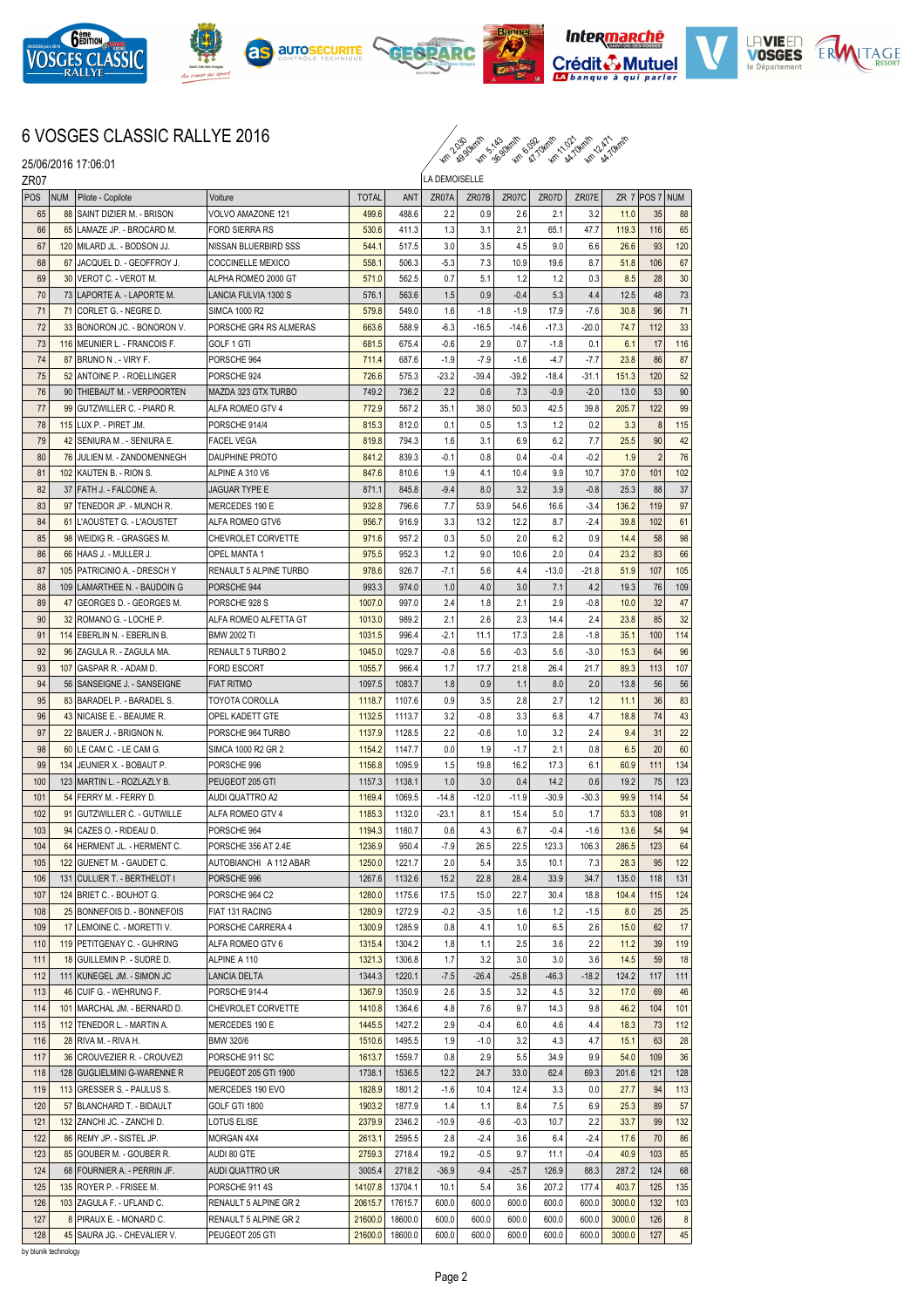











## 6 VOSGES CLASSIC RALLYE 2016



25/06/2016 17:06:01

| ZR07 |            |                               |                           |              |         | LA DEMOISELLE |         |         |         |         |        |                |                |
|------|------------|-------------------------------|---------------------------|--------------|---------|---------------|---------|---------|---------|---------|--------|----------------|----------------|
| POS  | <b>NUM</b> | Pilote - Copilote             | Voiture                   | <b>TOTAL</b> | ANT     | ZR07A         | ZR07B   | ZR07C   | ZR07D   | ZR07E   |        | ZR 7 POS 7 NUM |                |
| 65   |            | 88 SAINT DIZIER M. - BRISON   | VOLVO AMAZONE 121         | 499.6        | 488.6   | 2.2           | 0.9     | 2.6     | 2.1     | 3.2     | 11.0   | 35             | 88             |
| 66   |            | 65 LAMAZE JP. - BROCARD M.    | <b>FORD SIERRA RS</b>     | 530.6        | 411.3   | 1.3           | 3.1     | 2.1     | 65.1    | 47.7    | 119.3  | 116            | 65             |
| 67   |            | 120 MILARD JL. - BODSON JJ.   | NISSAN BLUERBIRD SSS      | 544.1        | 517.5   | 3.0           | 3.5     | 4.5     | 9.0     | 6.6     | 26.6   | 93             | 120            |
| 68   |            | 67 JACQUEL D. - GEOFFROY J.   | COCCINELLE MEXICO         | 558.1        | 506.3   | $-5.3$        | 7.3     | 10.9    | 19.6    | 8.7     | 51.8   | 106            | 67             |
| 69   |            | 30 VEROT C. - VEROT M.        | ALPHA ROMEO 2000 GT       | 571.0        | 562.5   | 0.7           | 5.1     | 1.2     | 1.2     | 0.3     | 8.5    | 28             | 30             |
| 70   |            | 73 LAPORTE A. - LAPORTE M.    | LANCIA FULVIA 1300 S      | 576.1        | 563.6   | 1.5           | 0.9     | $-0.4$  | 5.3     | 4.4     | 12.5   | 48             | 73             |
| 71   |            | 71 CORLET G. - NEGRE D.       | <b>SIMCA 1000 R2</b>      | 579.8        | 549.0   | 1.6           | $-1.8$  | $-1.9$  | 17.9    | $-7.6$  | 30.8   | 96             | 71             |
| 72   |            | 33 BONORON JC. - BONORON V.   | PORSCHE GR4 RS ALMERAS    | 663.6        | 588.9   | $-6.3$        | $-16.5$ | $-14.6$ | $-17.3$ | $-20.0$ | 74.7   | 112            | 33             |
| 73   |            | 116 MEUNIER L. - FRANCOIS F.  | GOLF 1 GTI                | 681.5        | 675.4   | $-0.6$        | 2.9     | 0.7     | $-1.8$  | 0.1     | 6.1    | 17             | 116            |
| 74   |            | 87 BRUNO N. - VIRY F.         | PORSCHE 964               | 711.4        | 687.6   | $-1.9$        | $-7.9$  | $-1.6$  | $-4.7$  | $-7.7$  | 23.8   | 86             | 87             |
| 75   |            | 52 ANTOINE P. - ROELLINGER    | PORSCHE 924               | 726.6        | 575.3   | $-23.2$       | $-39.4$ | $-39.2$ | $-18.4$ | $-31.1$ | 151.3  | 120            | 52             |
| 76   |            | 90   THIEBAUT M. - VERPOORTEN | MAZDA 323 GTX TURBO       | 749.2        | 736.2   | 2.2           | 0.6     | 7.3     | $-0.9$  | $-2.0$  | 13.0   | 53             | 90             |
| 77   |            | 99 GUTZWILLER C. - PIARD R.   | ALFA ROMEO GTV 4          | 772.9        | 567.2   | 35.1          | 38.0    | 50.3    | 42.5    | 39.8    | 205.7  | 122            | 99             |
| 78   |            | 115 LUX P. - PIRET JM.        | PORSCHE 914/4             | 815.3        | 812.0   | 0.1           | 0.5     | 1.3     | 1.2     | 0.2     | 3.3    | 8              | 115            |
| 79   |            | 42 SENIURA M. - SENIURA E.    | <b>FACEL VEGA</b>         | 819.8        | 794.3   | 1.6           | 3.1     | 6.9     | 6.2     | 7.7     | 25.5   | 90             | 42             |
| 80   |            |                               |                           |              |         | $-0.1$        | 0.8     | 0.4     |         | $-0.2$  | 1.9    | $\overline{2}$ | 76             |
|      |            | 76 JULIEN M. - ZANDOMENNEGH   | DAUPHINE PROTO            | 841.2        | 839.3   |               |         |         | $-0.4$  |         |        |                |                |
| 81   |            | 102 KAUTEN B. - RION S.       | ALPINE A 310 V6           | 847.6        | 810.6   | 1.9           | 4.1     | 10.4    | 9.9     | 10.7    | 37.0   | 101            | 102            |
| 82   |            | 37 FATH J. - FALCONE A.       | <b>JAGUAR TYPE E</b>      | 871.1        | 845.8   | $-9.4$        | 8.0     | 3.2     | 3.9     | $-0.8$  | 25.3   | 88             | 37             |
| 83   |            | 97 TENEDOR JP. - MUNCH R.     | MERCEDES 190 E            | 932.8        | 796.6   | 7.7           | 53.9    | 54.6    | 16.6    | $-3.4$  | 136.2  | 119            | 97             |
| 84   |            | 61 L'AOUSTET G. - L'AOUSTET   | ALFA ROMEO GTV6           | 956.7        | 916.9   | 3.3           | 13.2    | 12.2    | 8.7     | $-2.4$  | 39.8   | 102            | 61             |
| 85   |            | 98 WEIDIG R. - GRASGES M.     | <b>CHEVROLET CORVETTE</b> | 971.6        | 957.2   | 0.3           | 5.0     | 2.0     | 6.2     | 0.9     | 14.4   | 58             | 98             |
| 86   |            | 66 HAAS J. - MULLER J.        | <b>OPEL MANTA1</b>        | 975.5        | 952.3   | 1.2           | 9.0     | 10.6    | 2.0     | 0.4     | 23.2   | 83             | 66             |
| 87   |            | 105 PATRICINIO A. - DRESCH Y  | RENAULT 5 ALPINE TURBO    | 978.6        | 926.7   | $-7.1$        | 5.6     | 4.4     | $-13.0$ | $-21.8$ | 51.9   | 107            | 105            |
| 88   |            | 109 LAMARTHEE N. - BAUDOIN G  | PORSCHE 944               | 993.3        | 974.0   | 1.0           | 4.0     | 3.0     | 7.1     | 4.2     | 19.3   | 76             | 109            |
| 89   |            | 47 GEORGES D. - GEORGES M.    | PORSCHE 928 S             | 1007.0       | 997.0   | 2.4           | 1.8     | 2.1     | 2.9     | $-0.8$  | 10.0   | 32             | 47             |
| 90   |            | 32 ROMANO G. - LOCHE P.       | ALFA ROMEO ALFETTA GT     | 1013.0       | 989.2   | 2.1           | 2.6     | 2.3     | 14.4    | 2.4     | 23.8   | 85             | 32             |
| 91   |            | 114 EBERLIN N. - EBERLIN B.   | <b>BMW 2002 TI</b>        | 1031.5       | 996.4   | $-2.1$        | 11.1    | 17.3    | 2.8     | $-1.8$  | 35.1   | 100            | 114            |
| 92   |            | 96 ZAGULA R. - ZAGULA MA.     | RENAULT 5 TURBO 2         | 1045.0       | 1029.7  | $-0.8$        | 5.6     | $-0.3$  | 5.6     | $-3.0$  | 15.3   | 64             | 96             |
| 93   |            | 107 GASPAR R. - ADAM D.       | <b>FORD ESCORT</b>        | 1055.7       | 966.4   | 1.7           | 17.7    | 21.8    | 26.4    | 21.7    | 89.3   | 113            | 107            |
| 94   |            | 56   SANSEIGNE J. - SANSEIGNE | <b>FIAT RITMO</b>         | 1097.5       | 1083.7  | 1.8           | 0.9     | 1.1     | 8.0     | 2.0     | 13.8   | 56             | 56             |
| 95   |            | 83 BARADEL P. - BARADEL S.    | TOYOTA COROLLA            | 1118.7       | 1107.6  | 0.9           | 3.5     | 2.8     | 2.7     | 1.2     | 11.1   | 36             | 83             |
| 96   |            | 43 NICAISE E. - BEAUME R.     | OPEL KADETT GTE           | 1132.5       | 1113.7  | 3.2           | $-0.8$  | 3.3     | 6.8     | 4.7     | 18.8   | 74             | 43             |
| 97   |            | 22 BAUER J. - BRIGNON N.      | PORSCHE 964 TURBO         | 1137.9       | 1128.5  | 2.2           | $-0.6$  | 1.0     | 3.2     | 2.4     | 9.4    | 31             | 22             |
| 98   |            | 60 LE CAM C. - LE CAM G.      | SIMCA 1000 R2 GR 2        | 1154.2       | 1147.7  | 0.0           | 1.9     | $-1.7$  | 2.1     | 0.8     | 6.5    | 20             | 60             |
| 99   | 134        | JEUNIER X. - BOBAUT P.        | PORSCHE 996               | 1156.8       | 1095.9  | 1.5           | 19.8    | 16.2    | 17.3    | 6.1     | 60.9   | 111            | 134            |
| 100  |            | 123   MARTIN L. - ROZLAZLY B. | PEUGEOT 205 GTI           | 1157.3       | 1138.1  | 1.0           | 3.0     | 0.4     | 14.2    | 0.6     | 19.2   | 75             | 123            |
| 101  |            | 54 FERRY M. - FERRY D.        | <b>AUDI QUATTRO A2</b>    | 1169.4       | 1069.5  | $-14.8$       | $-12.0$ | $-11.9$ | $-30.9$ | $-30.3$ | 99.9   | 114            | 54             |
| 102  |            | 91 GUTZWILLER C. - GUTWILLE   | ALFA ROMEO GTV 4          | 1185.3       | 1132.0  | $-23.1$       | 8.1     | 15.4    | 5.0     | 1.7     | 53.3   | 108            | 91             |
| 103  |            | 94 CAZES O. - RIDEAU D.       | PORSCHE 964               | 1194.3       | 1180.7  | 0.6           | 4.3     | 6.7     | $-0.4$  | $-1.6$  | 13.6   | 54             | 94             |
| 104  |            | 64 HERMENT JL. - HERMENT C.   | PORSCHE 356 AT 2.4E       | 1236.9       | 950.4   | $-7.9$        | 26.5    | 22.5    | 123.3   | 106.3   | 286.5  | 123            | 64             |
| 105  |            | 122 GUENET M. - GAUDET C.     | AUTOBIANCHI A 112 ABAR    | 1250.0       | 1221.7  | 2.0           | 5.4     | 3.5     | 10.1    | 7.3     | 28.3   | 95             | 122            |
| 106  |            | 131 CULLIER T. - BERTHELOT I  | PORSCHE 996               | 1267.6       | 1132.6  | 15.2          | 22.8    | 28.4    | 33.9    | 34.7    | 135.0  | 118            | 131            |
| 107  |            | 124 BRIET C. - BOUHOT G.      | PORSCHE 964 C2            | 1280.0       | 1175.6  | 17.5          | 15.0    | 22.7    | 30.4    | 18.8    | 104.4  | 115            | 124            |
| 108  |            | 25 BONNEFOIS D. - BONNEFOIS   | FIAT 131 RACING           | 1280.9       | 1272.9  | $-0.2$        | $-3.5$  | 1.6     | 1.2     | $-1.5$  | 8.0    | 25             | 25             |
| 109  |            | 17 LEMOINE C. - MORETTI V.    | PORSCHE CARRERA 4         | 1300.9       | 1285.9  | 0.8           | 4.1     | 1.0     | 6.5     | 2.6     | 15.0   | 62             | 17             |
| 110  |            | 119 PETITGENAY C. - GUHRING   | ALFA ROMEO GTV 6          | 1315.4       | 1304.2  | 1.8           | 1.1     | 2.5     | 3.6     | 2.2     | 11.2   | 39             | 119            |
| 111  |            | 18 GUILLEMIN P. - SUDRE D.    | ALPINE A 110              | 1321.3       | 1306.8  | 1.7           | 3.2     | 3.0     | 3.0     | 3.6     | 14.5   | 59             | 18             |
| 112  |            | 111 KUNEGEL JM. - SIMON JC    | LANCIA DELTA              | 1344.3       | 1220.1  | $-7.5$        | $-26.4$ | $-25.8$ | $-46.3$ | $-18.2$ | 124.2  | 117            | 111            |
| 113  |            | 46 CUIF G. - WEHRUNG F.       | PORSCHE 914-4             | 1367.9       | 1350.9  | 2.6           | 3.5     | 3.2     | 4.5     | 3.2     | 17.0   | 69             | 46             |
| 114  |            | 101 MARCHAL JM. - BERNARD D.  |                           |              |         |               |         | 9.7     |         | 9.8     |        | 104            |                |
|      |            |                               | CHEVROLET CORVETTE        | 1410.8       | 1364.6  | 4.8           | 7.6     |         | 14.3    |         | 46.2   |                | 101            |
| 115  |            | 112 TENEDOR L. - MARTIN A.    | MERCEDES 190 E            | 1445.5       | 1427.2  | 2.9           | $-0.4$  | 6.0     | 4.6     | 4.4     | 18.3   | 73             | 112            |
| 116  |            | 28 RIVA M. - RIVA H.          | BMW 320/6                 | 1510.6       | 1495.5  | 1.9           | $-1.0$  | 3.2     | 4.3     | 4.7     | 15.1   | 63             | 28             |
| 117  |            | 36 CROUVEZIER R. - CROUVEZI   | PORSCHE 911 SC            | 1613.7       | 1559.7  | 0.8           | 2.9     | 5.5     | 34.9    | 9.9     | 54.0   | 109            | 36             |
| 118  |            | 128 GUGLIELMINI G-WARENNE R   | PEUGEOT 205 GTI 1900      | 1738.1       | 1536.5  | 12.2          | 24.7    | 33.0    | 62.4    | 69.3    | 201.6  | 121            | 128            |
| 119  |            | 113 GRESSER S. - PAULUS S.    | MERCEDES 190 EVO          | 1828.9       | 1801.2  | $-1.6$        | 10.4    | 12.4    | 3.3     | 0.0     | 27.7   | 94             | 113            |
| 120  |            | 57 BLANCHARD T. - BIDAULT     | GOLF GTI 1800             | 1903.2       | 1877.9  | 1.4           | 1.1     | 8.4     | 7.5     | 6.9     | 25.3   | 89             | 57             |
| 121  |            | 132 ZANCHI JC. - ZANCHI D.    | LOTUS ELISE               | 2379.9       | 2346.2  | $-10.9$       | $-9.6$  | $-0.3$  | 10.7    | 2.2     | 33.7   | 99             | 132            |
| 122  |            | 86 REMY JP. - SISTEL JP.      | MORGAN 4X4                | 2613.1       | 2595.5  | 2.8           | $-2.4$  | 3.6     | 6.4     | -2.4    | 17.6   | 70             | 86             |
| 123  |            | 85 GOUBER M. - GOUBER R.      | AUDI 80 GTE               | 2759.3       | 2718.4  | 19.2          | $-0.5$  | 9.7     | 11.1    | $-0.4$  | 40.9   | 103            | 85             |
| 124  |            | 68 FOURNIER A. - PERRIN JF.   | AUDI QUATTRO UR           | 3005.4       | 2718.2  | $-36.9$       | $-9.4$  | $-25.7$ | 126.9   | 88.3    | 287.2  | 124            | 68             |
| 125  |            | 135 ROYER P. - FRISEE M.      | PORSCHE 911 4S            | 14107.8      | 13704.1 | 10.1          | 5.4     | 3.6     | 207.2   | 177.4   | 403.7  | 125            | 135            |
| 126  |            | 103 ZAGULA F. - UFLAND C.     | RENAULT 5 ALPINE GR 2     | 20615.7      | 17615.7 | 600.0         | 600.0   | 600.0   | 600.0   | 600.0   | 3000.0 | 132            | 103            |
| 127  |            | 8 PIRAUX E. - MONARD C.       | RENAULT 5 ALPINE GR 2     | 21600.0      | 18600.0 | 600.0         | 600.0   | 600.0   | 600.0   | 600.0   | 3000.0 | 126            | 8 <sup>1</sup> |
| 128  |            | 45 SAURA JG. - CHEVALIER V.   | PEUGEOT 205 GTI           | 21600.0      | 18600.0 | 600.0         | 600.0   | 600.0   | 600.0   | 600.0   | 3000.0 | 127            | 45             |

by blunik technology